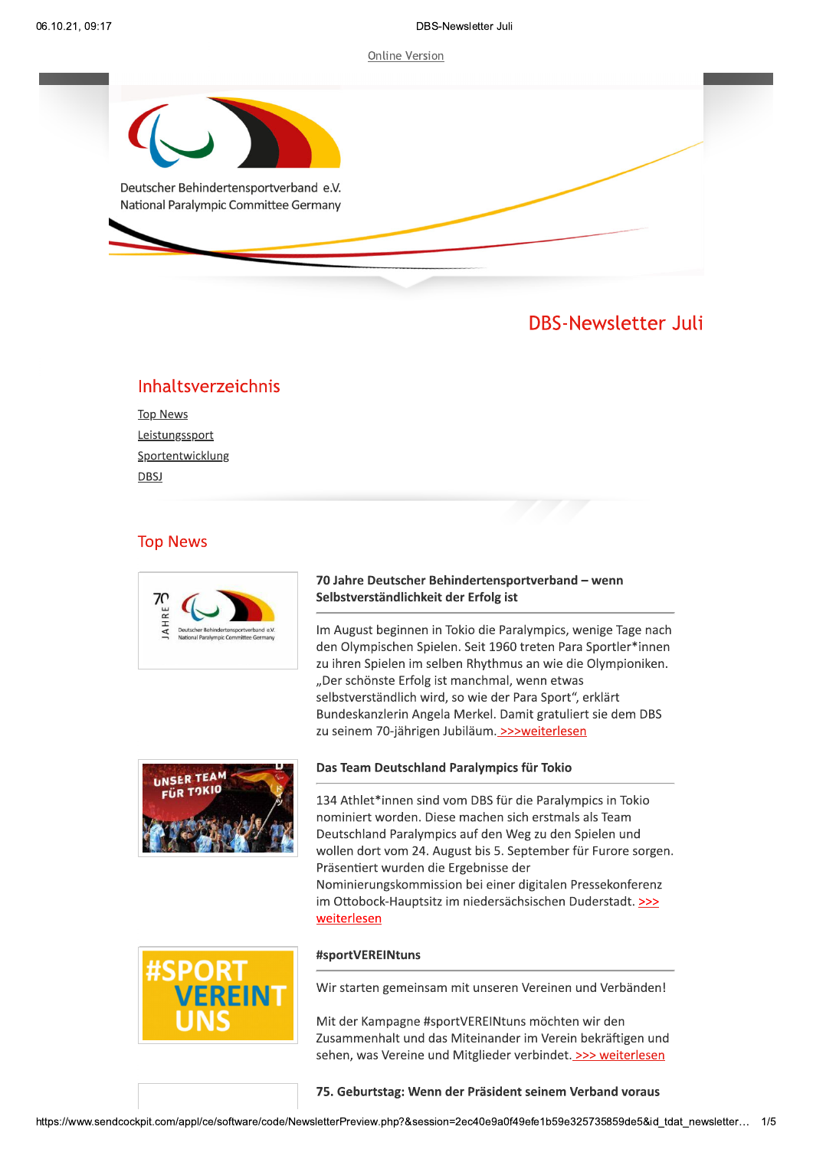

# Inhaltsverzeichnis

| <b>Top News</b>  |
|------------------|
| Leistungssport   |
| Sportentwicklung |
| DBSJ             |

# **Top News**



# 70 Jahre Deutscher Behindertensportverband - wenn Selbstverständlichkeit der Erfolg ist

Im August beginnen in Tokio die Paralympics, wenige Tage nach den Olympischen Spielen. Seit 1960 treten Para Sportler\*innen zu ihren Spielen im selben Rhythmus an wie die Olympioniken. "Der schönste Erfolg ist manchmal, wenn etwas selbstverständlich wird, so wie der Para Sport", erklärt Bundeskanzlerin Angela Merkel. Damit gratuliert sie dem DBS zu seinem 70-jährigen Jubiläum. >>>weiterlesen



# Das Team Deutschland Paralympics für Tokio

134 Athlet\*innen sind vom DBS für die Paralympics in Tokio nominiert worden. Diese machen sich erstmals als Team Deutschland Paralympics auf den Weg zu den Spielen und wollen dort vom 24. August bis 5. September für Furore sorgen. Präsentiert wurden die Ergebnisse der Nominierungskommission bei einer digitalen Pressekonferenz im Ottobock-Hauptsitz im niedersächsischen Duderstadt. >>> weiterlesen

### #sportVEREINtuns

Wir starten gemeinsam mit unseren Vereinen und Verbänden!

Mit der Kampagne #sportVEREINtuns möchten wir den Zusammenhalt und das Miteinander im Verein bekräftigen und sehen, was Vereine und Mitglieder verbindet. >>> weiterlesen

75. Geburtstag: Wenn der Präsident seinem Verband voraus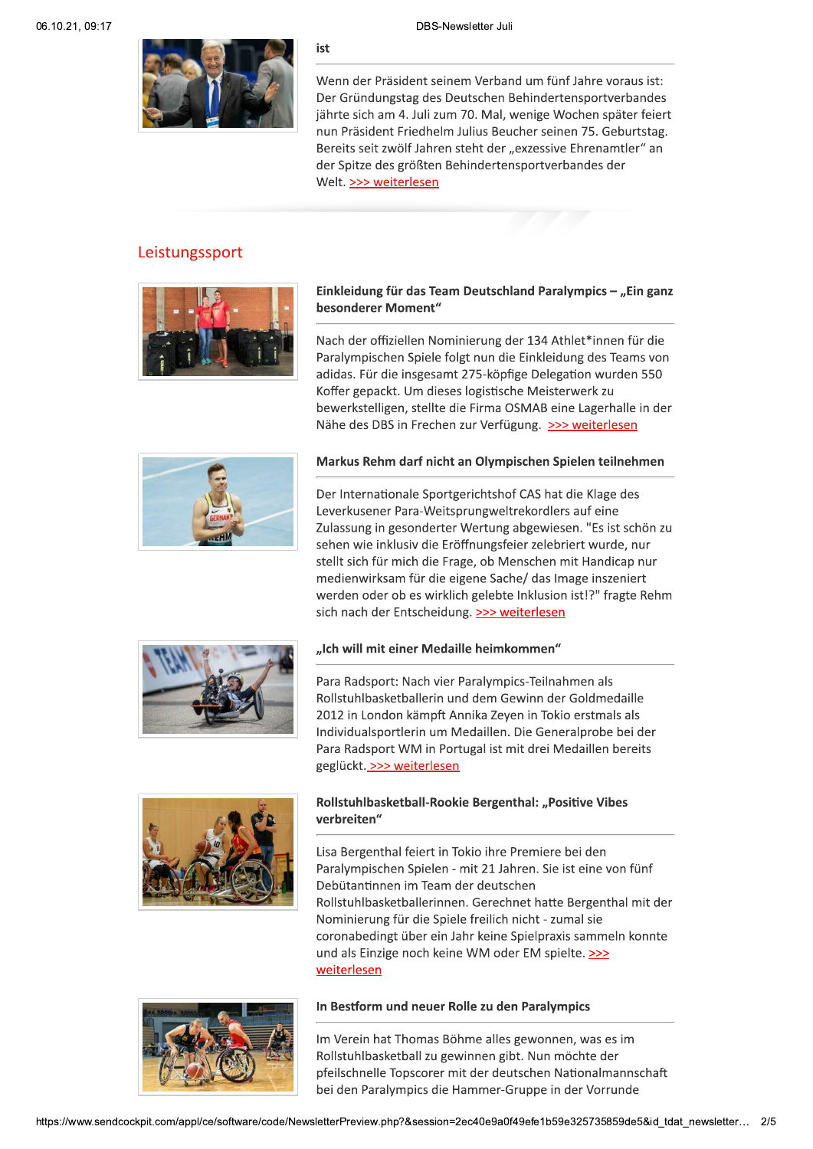ist

Wenn der Präsident seinem Verband um fünf Jahre voraus ist: Der Gründungstag des Deutschen Behindertensportverbandes jährte sich am 4. Juli zum 70. Mal, wenige Wochen später feiert nun Präsident Friedhelm Julius Beucher seinen 75. Geburtstag. Bereits seit zwölf Jahren steht der "exzessive Ehrenamtler" an der Spitze des größten Behindertensportverbandes der Welt. >>> weiterlesen

# Leistungssport



# Einkleidung für das Team Deutschland Paralympics - "Ein ganz besonderer Moment"

Nach der offiziellen Nominierung der 134 Athlet\*innen für die Paralympischen Spiele folgt nun die Einkleidung des Teams von adidas. Für die insgesamt 275-köpfige Delegation wurden 550 Koffer gepackt. Um dieses logistische Meisterwerk zu bewerkstelligen, stellte die Firma OSMAB eine Lagerhalle in der Nähe des DBS in Frechen zur Verfügung. >>> weiterlesen



### Markus Rehm darf nicht an Olympischen Spielen teilnehmen

Der Internationale Sportgerichtshof CAS hat die Klage des Leverkusener Para-Weitsprungweltrekordlers auf eine Zulassung in gesonderter Wertung abgewiesen. "Es ist schön zu sehen wie inklusiv die Eröffnungsfeier zelebriert wurde, nur stellt sich für mich die Frage, ob Menschen mit Handicap nur medienwirksam für die eigene Sache/ das Image inszeniert werden oder ob es wirklich gelebte Inklusion ist!?" fragte Rehm sich nach der Entscheidung. >>> weiterlesen



# "Ich will mit einer Medaille heimkommen"

Para Radsport: Nach vier Paralympics-Teilnahmen als Rollstuhlbasketballerin und dem Gewinn der Goldmedaille 2012 in London kämpft Annika Zeyen in Tokio erstmals als Individualsportlerin um Medaillen. Die Generalprobe bei der Para Radsport WM in Portugal ist mit drei Medaillen bereits geglückt. >>> weiterlesen



# Rollstuhlbasketball-Rookie Bergenthal: "Positive Vibes verbreiten"

Lisa Bergenthal feiert in Tokio ihre Premiere bei den Paralympischen Spielen - mit 21 Jahren. Sie ist eine von fünf Debütantinnen im Team der deutschen Rollstuhlbasketballerinnen. Gerechnet hatte Bergenthal mit der Nominierung für die Spiele freilich nicht - zumal sie coronabedingt über ein Jahr keine Spielpraxis sammeln konnte und als Einzige noch keine WM oder EM spielte. >>> weiterlesen



#### In Bestform und neuer Rolle zu den Paralympics

Im Verein hat Thomas Böhme alles gewonnen, was es im Rollstuhlbasketball zu gewinnen gibt. Nun möchte der pfeilschnelle Topscorer mit der deutschen Nationalmannschaft bei den Paralympics die Hammer-Gruppe in der Vorrunde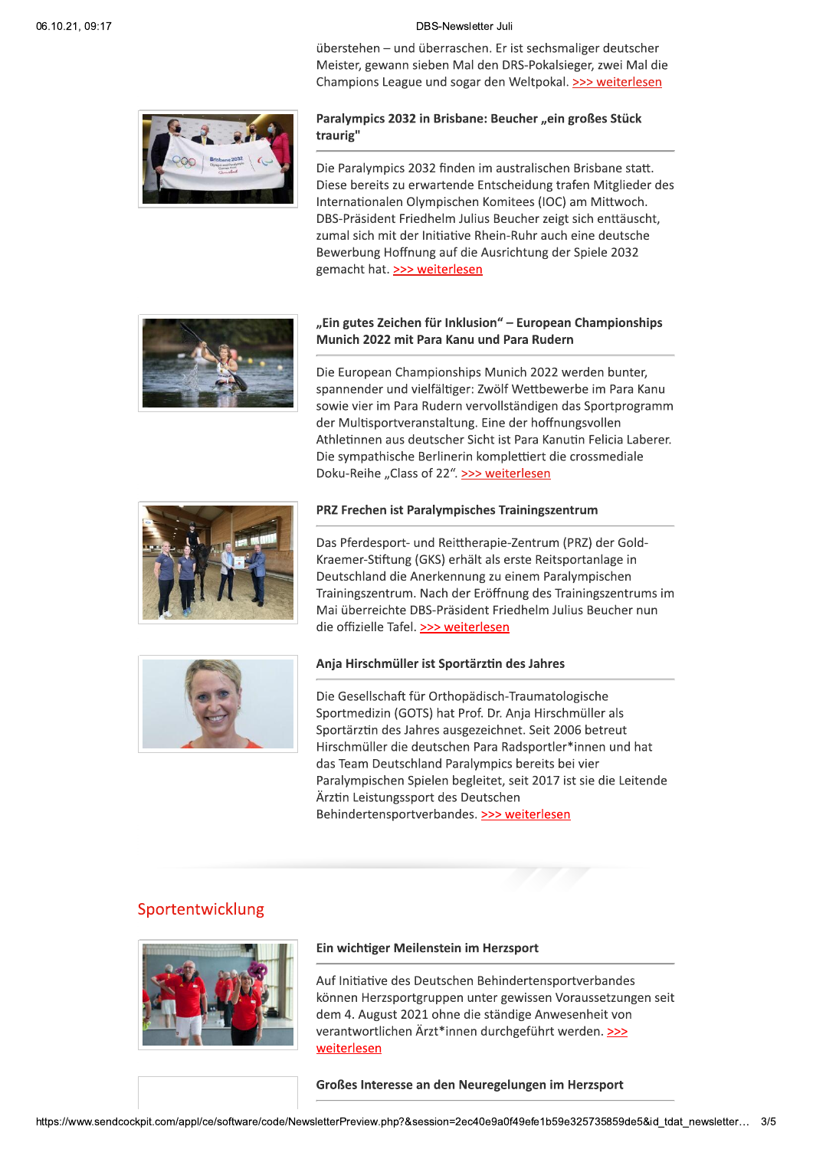überstehen - und überraschen. Er ist sechsmaliger deutscher Meister, gewann sieben Mal den DRS-Pokalsieger, zwei Mal die Champions League und sogar den Weltpokal. >>> weiterlesen



# Paralympics 2032 in Brisbane: Beucher "ein großes Stück traurig"

Die Paralympics 2032 finden im australischen Brisbane statt. Diese bereits zu erwartende Entscheidung trafen Mitglieder des Internationalen Olympischen Komitees (IOC) am Mittwoch. DBS-Präsident Friedhelm Julius Beucher zeigt sich enttäuscht, zumal sich mit der Initiative Rhein-Ruhr auch eine deutsche Bewerbung Hoffnung auf die Ausrichtung der Spiele 2032 gemacht hat. >>> weiterlesen



# "Ein gutes Zeichen für Inklusion" – European Championships Munich 2022 mit Para Kanu und Para Rudern

Die European Championships Munich 2022 werden bunter, spannender und vielfältiger: Zwölf Wettbewerbe im Para Kanu sowie vier im Para Rudern vervollständigen das Sportprogramm der Multisportveranstaltung. Eine der hoffnungsvollen Athletinnen aus deutscher Sicht ist Para Kanutin Felicia Laberer. Die sympathische Berlinerin komplettiert die crossmediale Doku-Reihe "Class of 22". >>> weiterlesen



#### PRZ Frechen ist Paralympisches Trainingszentrum

Das Pferdesport- und Reittherapie-Zentrum (PRZ) der Gold-Kraemer-Stiftung (GKS) erhält als erste Reitsportanlage in Deutschland die Anerkennung zu einem Paralympischen Trainingszentrum. Nach der Eröffnung des Trainingszentrums im Mai überreichte DBS-Präsident Friedhelm Julius Beucher nun die offizielle Tafel. >>> weiterlesen



#### Anja Hirschmüller ist Sportärztin des Jahres

Die Gesellschaft für Orthopädisch-Traumatologische Sportmedizin (GOTS) hat Prof. Dr. Anja Hirschmüller als Sportärztin des Jahres ausgezeichnet. Seit 2006 betreut Hirschmüller die deutschen Para Radsportler\*innen und hat das Team Deutschland Paralympics bereits bei vier Paralympischen Spielen begleitet, seit 2017 ist sie die Leitende Ärztin Leistungssport des Deutschen Behindertensportverbandes. >>> weiterlesen

# Sportentwicklung



#### Ein wichtiger Meilenstein im Herzsport

Auf Initiative des Deutschen Behindertensportverbandes können Herzsportgruppen unter gewissen Voraussetzungen seit dem 4. August 2021 ohne die ständige Anwesenheit von verantwortlichen Ärzt\*innen durchgeführt werden. >>> weiterlesen

Großes Interesse an den Neuregelungen im Herzsport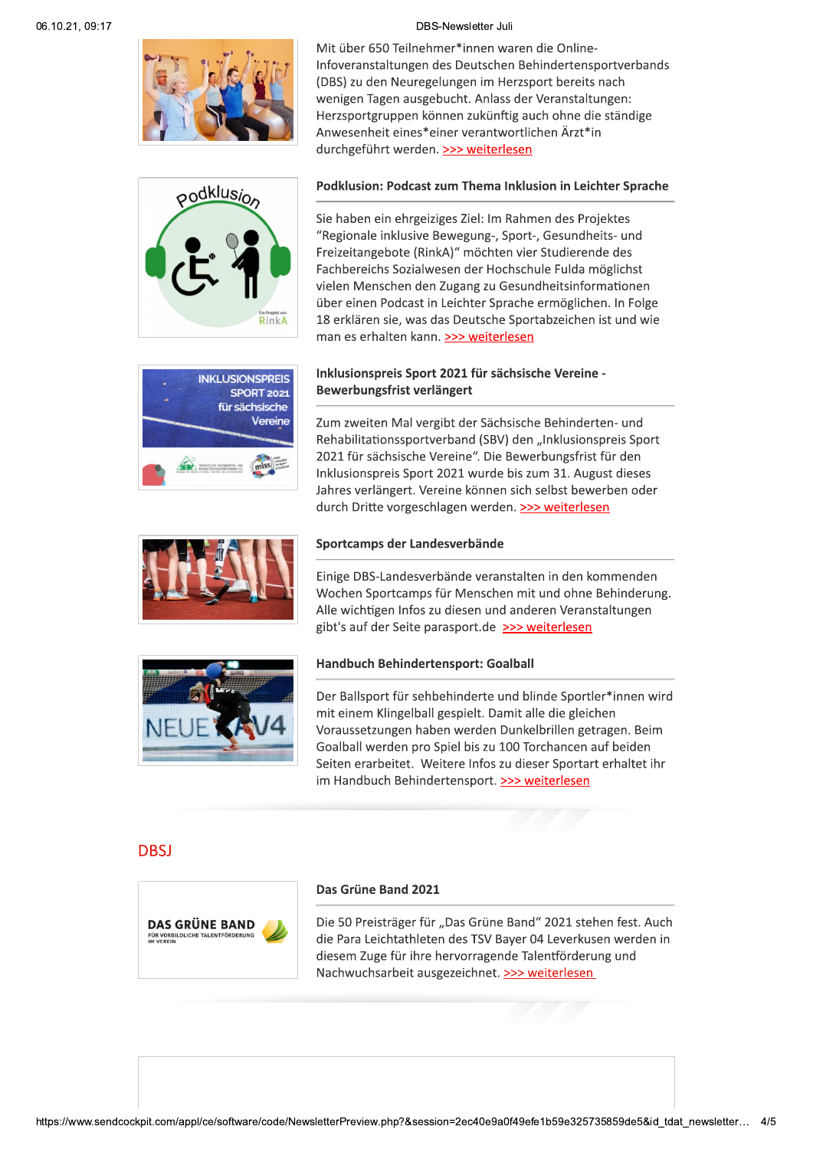



Mit über 650 Teilnehmer\*innen waren die Online-Infoveranstaltungen des Deutschen Behindertensportverbands (DBS) zu den Neuregelungen im Herzsport bereits nach wenigen Tagen ausgebucht. Anlass der Veranstaltungen: Herzsportgruppen können zukünftig auch ohne die ständige Anwesenheit eines\*einer verantwortlichen Ärzt\*in durchgeführt werden. >>> weiterlesen

#### Podklusion: Podcast zum Thema Inklusion in Leichter Sprache

Sie haben ein ehrgeiziges Ziel: Im Rahmen des Projektes "Regionale inklusive Bewegung-, Sport-, Gesundheits- und Freizeitangebote (RinkA)" möchten vier Studierende des Fachbereichs Sozialwesen der Hochschule Fulda möglichst vielen Menschen den Zugang zu Gesundheitsinformationen über einen Podcast in Leichter Sprache ermöglichen. In Folge 18 erklären sie, was das Deutsche Sportabzeichen ist und wie man es erhalten kann. >>> weiterlesen

# Inklusionspreis Sport 2021 für sächsische Vereine -Bewerbungsfrist verlängert



Zum zweiten Mal vergibt der Sächsische Behinderten- und Rehabilitationssportverband (SBV) den "Inklusionspreis Sport 2021 für sächsische Vereine". Die Bewerbungsfrist für den Inklusionspreis Sport 2021 wurde bis zum 31. August dieses Jahres verlängert. Vereine können sich selbst bewerben oder durch Dritte vorgeschlagen werden. >>> weiterlesen



### Sportcamps der Landesverbände

Einige DBS-Landesverbände veranstalten in den kommenden Wochen Sportcamps für Menschen mit und ohne Behinderung. Alle wichtigen Infos zu diesen und anderen Veranstaltungen gibt's auf der Seite parasport.de >>> weiterlesen



## Handbuch Behindertensport: Goalball

Der Ballsport für sehbehinderte und blinde Sportler\*innen wird mit einem Klingelball gespielt. Damit alle die gleichen Voraussetzungen haben werden Dunkelbrillen getragen. Beim Goalball werden pro Spiel bis zu 100 Torchancen auf beiden Seiten erarbeitet. Weitere Infos zu dieser Sportart erhaltet ihr im Handbuch Behindertensport. >>> weiterlesen

# **DBSI**



#### Das Grüne Band 2021

Die 50 Preisträger für "Das Grüne Band" 2021 stehen fest. Auch die Para Leichtathleten des TSV Bayer 04 Leverkusen werden in diesem Zuge für ihre hervorragende Talentförderung und Nachwuchsarbeit ausgezeichnet. >>> weiterlesen